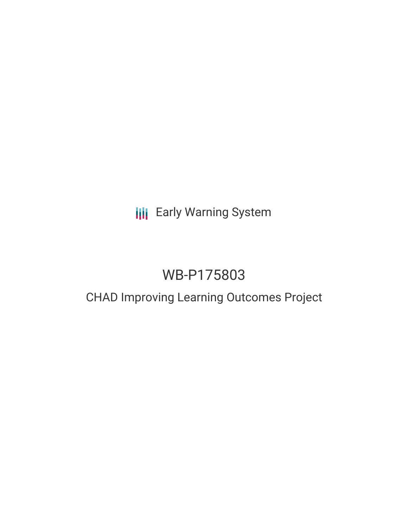# **III** Early Warning System

# WB-P175803

## CHAD Improving Learning Outcomes Project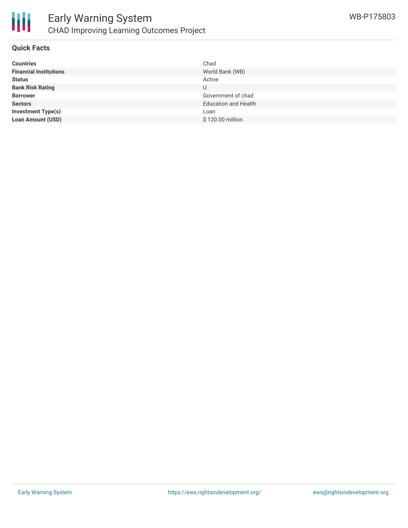

#### **Quick Facts**

| <b>Countries</b>              | Chad                        |
|-------------------------------|-----------------------------|
| <b>Financial Institutions</b> | World Bank (WB)             |
| <b>Status</b>                 | Active                      |
| <b>Bank Risk Rating</b>       | U                           |
| <b>Borrower</b>               | Government of chad          |
| <b>Sectors</b>                | <b>Education and Health</b> |
| <b>Investment Type(s)</b>     | Loan                        |
| <b>Loan Amount (USD)</b>      | \$120.00 million            |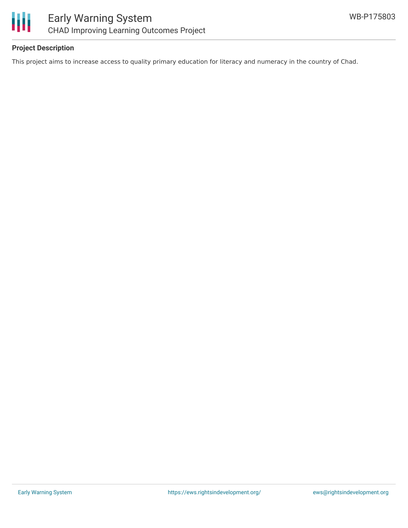

## **Project Description**

This project aims to increase access to quality primary education for literacy and numeracy in the country of Chad.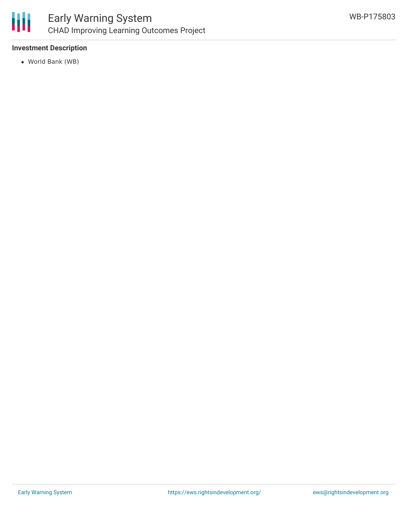

## **Investment Description**

World Bank (WB)